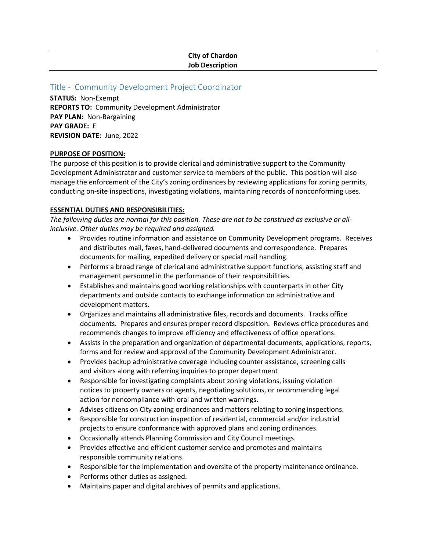# **City of Chardon Job Description**

## Title - Community Development Project Coordinator

**STATUS:** Non-Exempt **REPORTS TO:** Community Development Administrator **PAY PLAN:** Non-Bargaining **PAY GRADE:** E **REVISION DATE:** June, 2022

### **PURPOSE OF POSITION:**

The purpose of this position is to provide clerical and administrative support to the Community Development Administrator and customer service to members of the public. This position will also manage the enforcement of the City's zoning ordinances by reviewing applications for zoning permits, conducting on-site inspections, investigating violations, maintaining records of nonconforming uses.

## **ESSENTIAL DUTIES AND RESPONSIBILITIES:**

*The following duties are normal for this position. These are not to be construed as exclusive or allinclusive. Other duties may be required and assigned.*

- Provides routine information and assistance on Community Development programs. Receives and distributes mail, faxes, hand-delivered documents and correspondence. Prepares documents for mailing, expedited delivery or special mail handling.
- Performs a broad range of clerical and administrative support functions, assisting staff and management personnel in the performance of their responsibilities.
- Establishes and maintains good working relationships with counterparts in other City departments and outside contacts to exchange information on administrative and development matters.
- Organizes and maintains all administrative files, records and documents. Tracks office documents. Prepares and ensures proper record disposition. Reviews office procedures and recommends changes to improve efficiency and effectiveness of office operations.
- Assists in the preparation and organization of departmental documents, applications, reports, forms and for review and approval of the Community Development Administrator.
- Provides backup administrative coverage including counter assistance, screening calls and visitors along with referring inquiries to proper department
- Responsible for investigating complaints about zoning violations, issuing violation notices to property owners or agents, negotiating solutions, or recommending legal action for noncompliance with oral and written warnings.
- Advises citizens on City zoning ordinances and matters relating to zoning inspections.
- Responsible for construction inspection of residential, commercial and/or industrial projects to ensure conformance with approved plans and zoning ordinances.
- Occasionally attends Planning Commission and City Council meetings.
- Provides effective and efficient customer service and promotes and maintains responsible community relations.
- Responsible for the implementation and oversite of the property maintenance ordinance.
- Performs other duties as assigned.
- Maintains paper and digital archives of permits and applications.